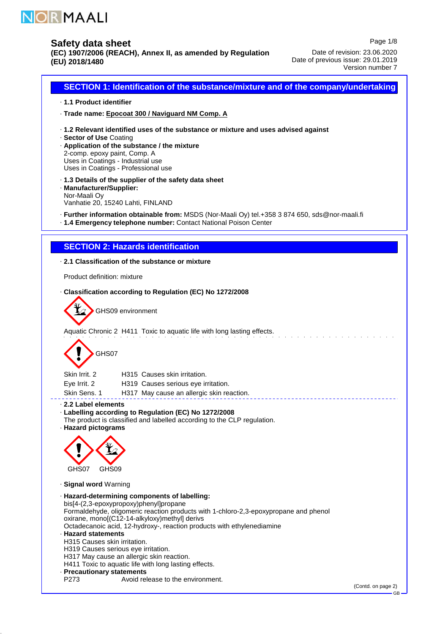

**(EC) 1907/2006 (REACH), Annex II, as amended by Regulation (EU) 2018/1480**

Page 1/8 Date of revision: 23.06.2020 Date of previous issue: 29.01.2019 Version number 7

**SECTION 1: Identification of the substance/mixture and of the company/undertaking** · **1.1 Product identifier** · **Trade name: Epocoat 300 / Naviguard NM Comp. A** · **1.2 Relevant identified uses of the substance or mixture and uses advised against** · **Sector of Use** Coating · **Application of the substance / the mixture** 2-comp. epoxy paint, Comp. A Uses in Coatings - Industrial use Uses in Coatings - Professional use · **1.3 Details of the supplier of the safety data sheet** · **Manufacturer/Supplier:** Nor-Maali Oy Vanhatie 20, 15240 Lahti, FINLAND · **Further information obtainable from:** MSDS (Nor-Maali Oy) tel.+358 3 874 650, sds@nor-maali.fi · **1.4 Emergency telephone number:** Contact National Poison Center **SECTION 2: Hazards identification** · **2.1 Classification of the substance or mixture** Product definition: mixture · **Classification according to Regulation (EC) No 1272/2008** GHS09 environment Aquatic Chronic 2 H411 Toxic to aquatic life with long lasting effects. GHS07 Skin Irrit. 2 H315 Causes skin irritation. Eye Irrit. 2 H319 Causes serious eye irritation. Skin Sens. 1 H317 May cause an allergic skin reaction. · **2.2 Label elements** · **Labelling according to Regulation (EC) No 1272/2008** The product is classified and labelled according to the CLP regulation. · **Hazard pictograms** GHS07 GHS09 · **Signal word** Warning · **Hazard-determining components of labelling:** bis[4-(2,3-epoxypropoxy)phenyl]propane Formaldehyde, oligomeric reaction products with 1-chloro-2,3-epoxypropane and phenol oxirane, mono[(C12-14-alkyloxy)methyl] derivs Octadecanoic acid, 12-hydroxy-, reaction products with ethylenediamine · **Hazard statements** H315 Causes skin irritation. H319 Causes serious eye irritation. H317 May cause an allergic skin reaction. H411 Toxic to aquatic life with long lasting effects. · **Precautionary statements** Avoid release to the environment.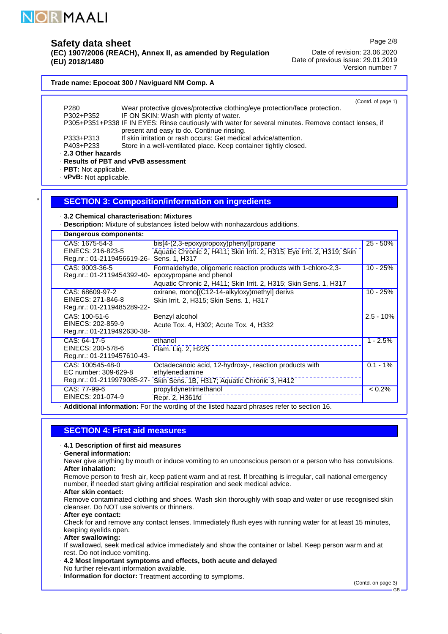

**(EC) 1907/2006 (REACH), Annex II, as amended by Regulation (EU) 2018/1480**

Page 2/8

Date of revision: 23.06.2020 Date of previous issue: 29.01.2019 Version number 7

#### **Trade name: Epocoat 300 / Naviguard NM Comp. A**

| P280                                    | Wear protective gloves/protective clothing/eye protection/face protection.                                                                         | (Contd. of page 1)                                    |
|-----------------------------------------|----------------------------------------------------------------------------------------------------------------------------------------------------|-------------------------------------------------------|
| P302+P352                               | IF ON SKIN: Wash with plenty of water.                                                                                                             |                                                       |
|                                         | P305+P351+P338 IF IN EYES: Rinse cautiously with water for several minutes. Remove contact lenses, if<br>present and easy to do. Continue rinsing. |                                                       |
| P333+P313                               | If skin irritation or rash occurs: Get medical advice/attention.                                                                                   |                                                       |
| P403+P233                               | Store in a well-ventilated place. Keep container tightly closed.                                                                                   |                                                       |
| 2.3 Other hazards                       |                                                                                                                                                    |                                                       |
| · Results of PBT and vPvB assessment    |                                                                                                                                                    |                                                       |
| · PBT: Not applicable.                  |                                                                                                                                                    |                                                       |
| · vPvB: Not applicable.                 |                                                                                                                                                    |                                                       |
|                                         |                                                                                                                                                    |                                                       |
|                                         | <b>SECTION 3: Composition/information on ingredients</b>                                                                                           |                                                       |
|                                         |                                                                                                                                                    |                                                       |
| 3.2 Chemical characterisation: Mixtures |                                                                                                                                                    |                                                       |
|                                         | · Description: Mixture of substances listed below with nonhazardous additions.                                                                     |                                                       |
| Dangerous components:                   |                                                                                                                                                    |                                                       |
|                                         |                                                                                                                                                    |                                                       |
| CAS: 1675-54-3<br>EINECS: 216-823-5     | bis[4-(2,3-epoxypropoxy)phenyl]propane                                                                                                             | $25 - 50%$                                            |
| Reg.nr.: 01-2119456619-26-              | Aquatic Chronic 2, H411; Skin Irrit. 2, H315; Eye Irrit. 2, H319; Skin<br>Sens. 1, H317                                                            |                                                       |
| CAS: 9003-36-5                          | Formaldehyde, oligomeric reaction products with 1-chloro-2,3-                                                                                      | $10 - 25%$                                            |
|                                         |                                                                                                                                                    |                                                       |
|                                         |                                                                                                                                                    |                                                       |
| Reg.nr.: 01-2119454392-40-              | epoxypropane and phenol                                                                                                                            |                                                       |
|                                         | Aquatic Chronic 2, H411; Skin Irrit. 2, H315; Skin Sens. 1, H317                                                                                   |                                                       |
| CAS: 68609-97-2<br>EINECS: 271-846-8    | oxirane, mono[(C12-14-alkyloxy)methyl] derivs                                                                                                      |                                                       |
| Reg.nr.: 01-2119485289-22-              | Skin Irrit. 2, H315; Skin Sens. 1, H317                                                                                                            |                                                       |
| CAS: 100-51-6                           | Benzyl alcohol                                                                                                                                     |                                                       |
| EINECS: 202-859-9                       | Acute Tox. 4, H302; Acute Tox. 4, H332                                                                                                             |                                                       |
| Reg.nr.: 01-2119492630-38-              |                                                                                                                                                    |                                                       |
| CAS: 64-17-5                            | ethanol                                                                                                                                            |                                                       |
| EINECS: 200-578-6                       | Flam. Lig. 2, H225                                                                                                                                 |                                                       |
| Reg.nr.: 01-2119457610-43-              |                                                                                                                                                    |                                                       |
| CAS: 100545-48-0                        | Octadecanoic acid, 12-hydroxy-, reaction products with                                                                                             |                                                       |
| EC number: 309-629-8                    | ethylenediamine                                                                                                                                    | $10 - 25%$<br>$2.5 - 10%$<br>$1 - 2.5%$<br>$0.1 - 1%$ |
| Reg.nr.: 01-2119979085-27-              | Skin Sens. 1B, H317; Aquatic Chronic 3, H412                                                                                                       |                                                       |
| CAS: 77-99-6<br>EINECS: 201-074-9       | propylidynetrimethanol<br>Repr. 2, H361fd                                                                                                          | $< 0.2\%$                                             |

## **SECTION 4: First aid measures**

- · **4.1 Description of first aid measures**
- · **General information:**
- Never give anything by mouth or induce vomiting to an unconscious person or a person who has convulsions. · **After inhalation:**

Remove person to fresh air, keep patient warm and at rest. If breathing is irregular, call national emergency number, if needed start giving artificial respiration and seek medical advice. · **After skin contact:**

- Remove contaminated clothing and shoes. Wash skin thoroughly with soap and water or use recognised skin cleanser. Do NOT use solvents or thinners.
- · **After eye contact:** Check for and remove any contact lenses. Immediately flush eyes with running water for at least 15 minutes, keeping eyelids open.
- · **After swallowing:**

If swallowed, seek medical advice immediately and show the container or label. Keep person warm and at rest. Do not induce vomiting.

- · **4.2 Most important symptoms and effects, both acute and delayed** No further relevant information available.
- · **Information for doctor:** Treatment according to symptoms.

(Contd. on page 3)

GB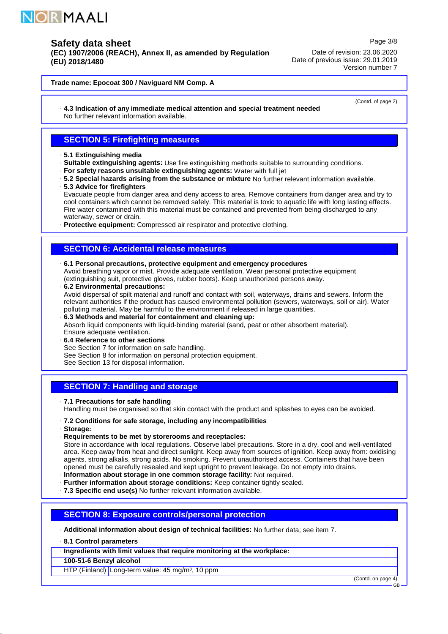

**(EC) 1907/2006 (REACH), Annex II, as amended by Regulation (EU) 2018/1480**

Date of revision: 23.06.2020 Date of previous issue: 29.01.2019 Version number 7

**Trade name: Epocoat 300 / Naviguard NM Comp. A**

· **4.3 Indication of any immediate medical attention and special treatment needed** No further relevant information available.

(Contd. of page 2)

Page 3/8

## **SECTION 5: Firefighting measures**

- · **5.1 Extinguishing media**
- · **Suitable extinguishing agents:** Use fire extinguishing methods suitable to surrounding conditions.
- · **For safety reasons unsuitable extinguishing agents:** Water with full jet
- · **5.2 Special hazards arising from the substance or mixture** No further relevant information available.
- · **5.3 Advice for firefighters** Evacuate people from danger area and deny access to area. Remove containers from danger area and try to cool containers which cannot be removed safely. This material is toxic to aquatic life with long lasting effects. Fire water contamined with this material must be contained and prevented from being discharged to any waterway, sewer or drain.

· **Protective equipment:** Compressed air respirator and protective clothing.

## **SECTION 6: Accidental release measures**

- · **6.1 Personal precautions, protective equipment and emergency procedures** Avoid breathing vapor or mist. Provide adequate ventilation. Wear personal protective equipment
- (extinguishing suit, protective gloves, rubber boots). Keep unauthorized persons away.
- · **6.2 Environmental precautions:** Avoid dispersal of spilt material and runoff and contact with soil, waterways, drains and sewers. Inform the relevant authorities if the product has caused environmental pollution (sewers, waterways, soil or air). Water polluting material. May be harmful to the environment if released in large quantities.
- · **6.3 Methods and material for containment and cleaning up:** Absorb liquid components with liquid-binding material (sand, peat or other absorbent material). Ensure adequate ventilation.
- · **6.4 Reference to other sections**
- See Section 7 for information on safe handling.
- See Section 8 for information on personal protection equipment.
- See Section 13 for disposal information.

## **SECTION 7: Handling and storage**

· **7.1 Precautions for safe handling**

Handling must be organised so that skin contact with the product and splashes to eyes can be avoided.

- · **7.2 Conditions for safe storage, including any incompatibilities**
- · **Storage:**
- · **Requirements to be met by storerooms and receptacles:**

Store in accordance with local regulations. Observe label precautions. Store in a dry, cool and well-ventilated area. Keep away from heat and direct sunlight. Keep away from sources of ignition. Keep away from: oxidising agents, strong alkalis, strong acids. No smoking. Prevent unauthorised access. Containers that have been opened must be carefully resealed and kept upright to prevent leakage. Do not empty into drains.

- · **Information about storage in one common storage facility:** Not required.
- · **Further information about storage conditions:** Keep container tightly sealed.
- · **7.3 Specific end use(s)** No further relevant information available.

# **SECTION 8: Exposure controls/personal protection**

- · **Additional information about design of technical facilities:** No further data; see item 7.
- · **8.1 Control parameters**
- · **Ingredients with limit values that require monitoring at the workplace:**
- **100-51-6 Benzyl alcohol**

HTP (Finland) Long-term value: 45 mg/m<sup>3</sup>, 10 ppm

(Contd. on page

GB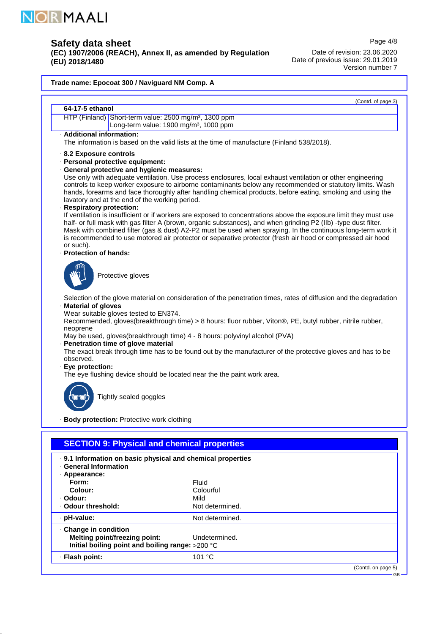

**(EC) 1907/2006 (REACH), Annex II, as amended by Regulation (EU) 2018/1480**

Page 4/8 Date of revision: 23.06.2020 Date of previous issue: 29.01.2019 Version number 7

GB

# **Trade name: Epocoat 300 / Naviguard NM Comp. A** (Contd. of page 3) **64-17-5 ethanol** HTP (Finland) Short-term value: 2500 mg/m<sup>3</sup>, 1300 ppm Long-term value: 1900 mg/m<sup>3</sup>, 1000 ppm · **Additional information:** The information is based on the valid lists at the time of manufacture (Finland 538/2018). · **8.2 Exposure controls** · **Personal protective equipment:** · **General protective and hygienic measures:** Use only with adequate ventilation. Use process enclosures, local exhaust ventilation or other engineering controls to keep worker exposure to airborne contaminants below any recommended or statutory limits. Wash hands, forearms and face thoroughly after handling chemical products, before eating, smoking and using the lavatory and at the end of the working period. · **Respiratory protection:** If ventilation is insufficient or if workers are exposed to concentrations above the exposure limit they must use half- or full mask with gas filter A (brown, organic substances), and when grinding P2 (IIb) -type dust filter. Mask with combined filter (gas & dust) A2-P2 must be used when spraying. In the continuous long-term work it is recommended to use motored air protector or separative protector (fresh air hood or compressed air hood or such). · **Protection of hands:** Protective gloves Selection of the glove material on consideration of the penetration times, rates of diffusion and the degradation · **Material of gloves** Wear suitable gloves tested to EN374. Recommended, gloves(breakthrough time) > 8 hours: fluor rubber, Viton®, PE, butyl rubber, nitrile rubber, neoprene May be used, gloves(breakthrough time) 4 - 8 hours: polyvinyl alcohol (PVA) · **Penetration time of glove material** The exact break through time has to be found out by the manufacturer of the protective gloves and has to be observed. · **Eye protection:** The eye flushing device should be located near the the paint work area. Tightly sealed goggles · **Body protection:** Protective work clothing **SECTION 9: Physical and chemical properties** · **9.1 Information on basic physical and chemical properties**

| <b>General Information</b><br>· Appearance:                                                                     |                                               |                    |
|-----------------------------------------------------------------------------------------------------------------|-----------------------------------------------|--------------------|
| Form:<br>Colour:<br>· Odour:<br>. Odour threshold:                                                              | Fluid<br>Colourful<br>Mild<br>Not determined. |                    |
| · pH-value:                                                                                                     | Not determined.                               |                    |
| Change in condition<br><b>Melting point/freezing point:</b><br>Initial boiling point and boiling range: >200 °C | Undetermined.                                 |                    |
| · Flash point:                                                                                                  | 101 $°C$                                      |                    |
|                                                                                                                 |                                               | (Contd. on page 5) |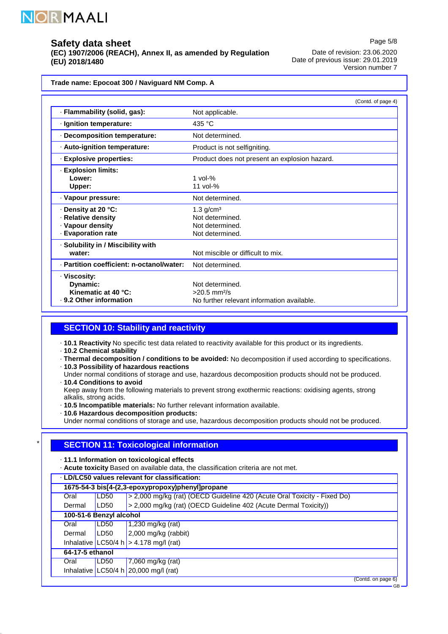

**(EC) 1907/2006 (REACH), Annex II, as amended by Regulation (EU) 2018/1480**

Page 5/8 Date of revision: 23.06.2020 Date of previous issue: 29.01.2019 Version number 7

**Trade name: Epocoat 300 / Naviguard NM Comp. A**

|                                                                                     | (Contd. of page 4)                                                                          |
|-------------------------------------------------------------------------------------|---------------------------------------------------------------------------------------------|
| · Flammability (solid, gas):                                                        | Not applicable.                                                                             |
| · Ignition temperature:                                                             | 435 °C                                                                                      |
| Decomposition temperature:                                                          | Not determined.                                                                             |
| · Auto-ignition temperature:                                                        | Product is not selfigniting.                                                                |
| · Explosive properties:                                                             | Product does not present an explosion hazard.                                               |
| $\cdot$ Explosion limits:<br>Lower:<br>Upper:                                       | $1$ vol- $%$<br>11 vol- $%$                                                                 |
| · Vapour pressure:                                                                  | Not determined.                                                                             |
| ⋅ Density at 20 °C:<br>· Relative density<br>· Vapour density<br>· Evaporation rate | $1.3$ g/cm <sup>3</sup><br>Not determined.<br>Not determined.<br>Not determined.            |
| · Solubility in / Miscibility with<br>water:                                        | Not miscible or difficult to mix.                                                           |
| · Partition coefficient: n-octanol/water:                                           | Not determined.                                                                             |
| · Viscosity:<br>Dynamic:<br>Kinematic at 40 °C:<br>⋅ 9.2 Other information          | Not determined.<br>$>20.5$ mm <sup>2</sup> /s<br>No further relevant information available. |

# **SECTION 10: Stability and reactivity**

· **10.1 Reactivity** No specific test data related to reactivity available for this product or its ingredients.

· **10.2 Chemical stability**

· **Thermal decomposition / conditions to be avoided:** No decomposition if used according to specifications.

- · **10.3 Possibility of hazardous reactions**
- Under normal conditions of storage and use, hazardous decomposition products should not be produced. · **10.4 Conditions to avoid**
- Keep away from the following materials to prevent strong exothermic reactions: oxidising agents, strong alkalis, strong acids.

· **10.5 Incompatible materials:** No further relevant information available.

· **10.6 Hazardous decomposition products:**

Under normal conditions of storage and use, hazardous decomposition products should not be produced.

# **SECTION 11: Toxicological information**

· **11.1 Information on toxicological effects**

· **Acute toxicity** Based on available data, the classification criteria are not met.

· **LD/LC50 values relevant for classification:**

| 1675-54-3 bis[4-(2,3-epoxypropoxy)phenyl]propane |      |                                                                          |
|--------------------------------------------------|------|--------------------------------------------------------------------------|
| Oral                                             | LD50 | > 2,000 mg/kg (rat) (OECD Guideline 420 (Acute Oral Toxicity - Fixed Do) |
| Dermal                                           | LD50 | > 2,000 mg/kg (rat) (OECD Guideline 402 (Acute Dermal Toxicity))         |
| 100-51-6 Benzyl alcohol                          |      |                                                                          |
| Oral                                             | LD50 | 1,230 mg/kg (rat)                                                        |
| Dermal                                           | LD50 | $2,000$ mg/kg (rabbit)                                                   |
|                                                  |      | Inhalative LC50/4 h $>$ 4.178 mg/l (rat)                                 |
| 64-17-5 ethanol                                  |      |                                                                          |
| Oral                                             | LD50 | 7,060 mg/kg (rat)                                                        |
|                                                  |      | Inhalative LC50/4 h $20,000$ mg/l (rat)                                  |
|                                                  |      | (Contd. on page 6)                                                       |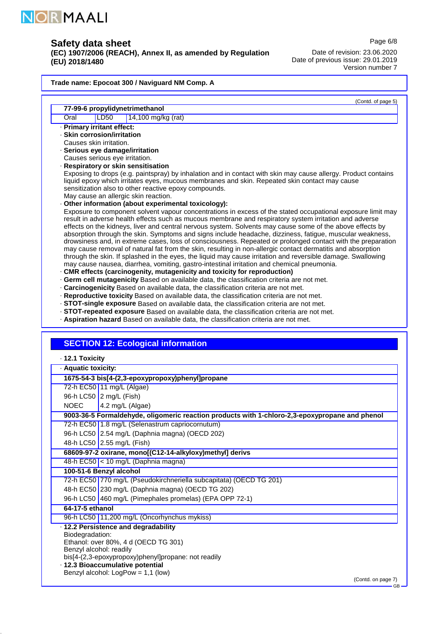

**(EC) 1907/2006 (REACH), Annex II, as amended by Regulation (EU) 2018/1480**

Date of revision: 23.06.2020 Date of previous issue: 29.01.2019 Version number 7

### **Trade name: Epocoat 300 / Naviguard NM Comp. A**

(Contd. of page 5)

Page 6/8

#### **77-99-6 propylidynetrimethanol** Oral LD50 14,100 mg/kg (rat) · **Primary irritant effect:** · **Skin corrosion/irritation** Causes skin irritation. · **Serious eye damage/irritation** Causes serious eye irritation. · **Respiratory or skin sensitisation** Exposing to drops (e.g. paintspray) by inhalation and in contact with skin may cause allergy. Product contains liquid epoxy which irritates eyes, mucous membranes and skin. Repeated skin contact may cause sensitization also to other reactive epoxy compounds. May cause an allergic skin reaction. · **Other information (about experimental toxicology):** Exposure to component solvent vapour concentrations in excess of the stated occupational exposure limit may result in adverse health effects such as mucous membrane and respiratory system irritation and adverse effects on the kidneys, liver and central nervous system. Solvents may cause some of the above effects by absorption through the skin. Symptoms and signs include headache, dizziness, fatigue, muscular weakness, drowsiness and, in extreme cases, loss of consciousness. Repeated or prolonged contact with the preparation may cause removal of natural fat from the skin, resulting in non-allergic contact dermatitis and absorption through the skin. If splashed in the eyes, the liquid may cause irritation and reversible damage. Swallowing may cause nausea, diarrhea, vomiting, gastro-intestinal irritation and chemical pneumonia. · **CMR effects (carcinogenity, mutagenicity and toxicity for reproduction)**

- · **Germ cell mutagenicity** Based on available data, the classification criteria are not met.
- · **Carcinogenicity** Based on available data, the classification criteria are not met.
- · **Reproductive toxicity** Based on available data, the classification criteria are not met.
- · **STOT-single exposure** Based on available data, the classification criteria are not met.
- · **STOT-repeated exposure** Based on available data, the classification criteria are not met.
- · **Aspiration hazard** Based on available data, the classification criteria are not met.

## **SECTION 12: Ecological information**

|  | 12.1 Toxicity |
|--|---------------|
|--|---------------|

| · Aquatic toxicity:                        |                                                                                                                                                                                                               |
|--------------------------------------------|---------------------------------------------------------------------------------------------------------------------------------------------------------------------------------------------------------------|
|                                            | 1675-54-3 bis[4-(2,3-epoxypropoxy)phenyl]propane                                                                                                                                                              |
|                                            | 72-h EC50 11 mg/L (Algae)                                                                                                                                                                                     |
|                                            | 96-h LC50 2 mg/L (Fish)                                                                                                                                                                                       |
| NOEC                                       | 4.2 mg/L (Algae)                                                                                                                                                                                              |
|                                            | 9003-36-5 Formaldehyde, oligomeric reaction products with 1-chloro-2,3-epoxypropane and phenol                                                                                                                |
|                                            | 72-h EC50 1.8 mg/L (Selenastrum capriocornutum)                                                                                                                                                               |
|                                            | 96-h LC50 2.54 mg/L (Daphnia magna) (OECD 202)                                                                                                                                                                |
|                                            | 48-h LC50 2.55 mg/L (Fish)                                                                                                                                                                                    |
|                                            | 68609-97-2 oxirane, mono[(C12-14-alkyloxy)methyl] derivs                                                                                                                                                      |
|                                            | 48-h EC50 < 10 mg/L (Daphnia magna)                                                                                                                                                                           |
|                                            | 100-51-6 Benzyl alcohol                                                                                                                                                                                       |
|                                            | 72-h EC50 770 mg/L (Pseudokirchneriella subcapitata) (OECD TG 201)                                                                                                                                            |
|                                            | 48-h EC50 230 mg/L (Daphnia magna) (OECD TG 202)                                                                                                                                                              |
|                                            | 96-h LC50 460 mg/L (Pimephales promelas) (EPA OPP 72-1)                                                                                                                                                       |
| 64-17-5 ethanol                            |                                                                                                                                                                                                               |
|                                            | 96-h LC50 11,200 mg/L (Oncorhynchus mykiss)                                                                                                                                                                   |
| Biodegradation:<br>Benzyl alcohol: readily | · 12.2 Persistence and degradability<br>Ethanol: over 80%, 4 d (OECD TG 301)<br>bis[4-(2,3-epoxypropoxy)phenyl]propane: not readily<br>· 12.3 Bioaccumulative potential<br>Benzyl alcohol: LogPow = 1,1 (low) |
|                                            | (Contd. on page 7)                                                                                                                                                                                            |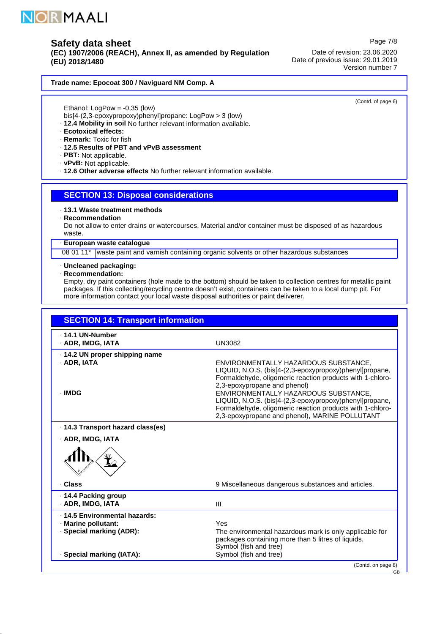

**(EC) 1907/2006 (REACH), Annex II, as amended by Regulation (EU) 2018/1480**

Date of revision: 23.06.2020 Date of previous issue: 29.01.2019 Version number 7

### **Trade name: Epocoat 300 / Naviguard NM Comp. A**

Ethanol: LogPow = -0,35 (low)

- bis[4-(2,3-epoxypropoxy)phenyl]propane: LogPow > 3 (low)
- · **12.4 Mobility in soil** No further relevant information available.
- · **Ecotoxical effects:**
- · **Remark:** Toxic for fish
- · **12.5 Results of PBT and vPvB assessment**
- · **PBT:** Not applicable.
- · **vPvB:** Not applicable.
- · **12.6 Other adverse effects** No further relevant information available.

## **SECTION 13: Disposal considerations**

- · **13.1 Waste treatment methods**
- · **Recommendation**

Do not allow to enter drains or watercourses. Material and/or container must be disposed of as hazardous waste.

#### · **European waste catalogue**

08 01 11\* waste paint and varnish containing organic solvents or other hazardous substances

#### · **Uncleaned packaging:**

#### · **Recommendation:**

Empty, dry paint containers (hole made to the bottom) should be taken to collection centres for metallic paint packages. If this collecting/recycling centre doesn't exist, containers can be taken to a local dump pit. For more information contact your local waste disposal authorities or paint deliverer.

| · ADR, IMDG, IATA                                             | <b>UN3082</b>                                                                                                                                                                                                                                                                                                                                                                                                  |
|---------------------------------------------------------------|----------------------------------------------------------------------------------------------------------------------------------------------------------------------------------------------------------------------------------------------------------------------------------------------------------------------------------------------------------------------------------------------------------------|
| ⋅ 14.2 UN proper shipping name<br>$\cdot$ ADR. IATA<br>· IMDG | ENVIRONMENTALLY HAZARDOUS SUBSTANCE,<br>LIQUID, N.O.S. (bis[4-(2,3-epoxypropoxy)phenyl]propane,<br>Formaldehyde, oligomeric reaction products with 1-chloro-<br>2,3-epoxypropane and phenol)<br>ENVIRONMENTALLY HAZARDOUS SUBSTANCE.<br>LIQUID, N.O.S. (bis[4-(2,3-epoxypropoxy)phenyl]propane,<br>Formaldehyde, oligomeric reaction products with 1-chloro-<br>2,3-epoxypropane and phenol), MARINE POLLUTANT |
| · 14.3 Transport hazard class(es)<br>· ADR, IMDG, IATA        |                                                                                                                                                                                                                                                                                                                                                                                                                |
|                                                               |                                                                                                                                                                                                                                                                                                                                                                                                                |
| · Class                                                       | 9 Miscellaneous dangerous substances and articles.                                                                                                                                                                                                                                                                                                                                                             |
|                                                               |                                                                                                                                                                                                                                                                                                                                                                                                                |
| ⋅ 14.4 Packing group<br>· ADR, IMDG, IATA                     | $\mathbf{III}$                                                                                                                                                                                                                                                                                                                                                                                                 |